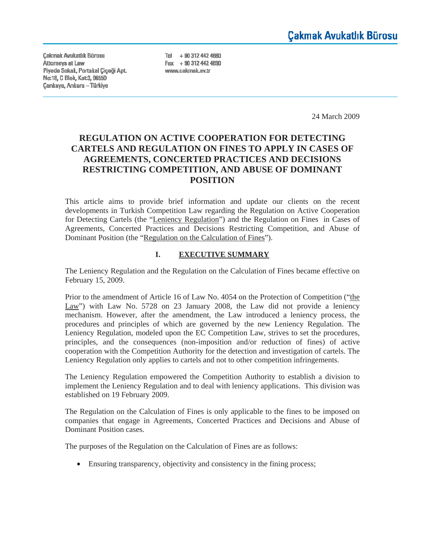**Cakmak Avukatlık Bürosu** Attorneys at Law Piyade Sokak, Portakal Çiçeği Apt. Nα 18, C Blok, Kat 3, 06550 **Çankaya, Ankara - Türkiye** 

Tel + 90 312 442 4680 Fax  $+903124424690$ www.cakmak.av.tr

24 March 2009

# **REGULATION ON ACTIVE COOPERATION FOR DETECTING CARTELS AND REGULATION ON FINES TO APPLY IN CASES OF AGREEMENTS, CONCERTED PRACTICES AND DECISIONS RESTRICTING COMPETITION, AND ABUSE OF DOMINANT POSITION**

This article aims to provide brief information and update our clients on the recent developments in Turkish Competition Law regarding the Regulation on Active Cooperation for Detecting Cartels (the "Leniency Regulation") and the Regulation on Fines in Cases of Agreements, Concerted Practices and Decisions Restricting Competition, and Abuse of Dominant Position (the "Regulation on the Calculation of Fines").

#### **I. EXECUTIVE SUMMARY**

The Leniency Regulation and the Regulation on the Calculation of Fines became effective on February 15, 2009.

Prior to the amendment of Article 16 of Law No. 4054 on the Protection of Competition ("the Law") with Law No. 5728 on 23 January 2008, the Law did not provide a leniency mechanism. However, after the amendment, the Law introduced a leniency process, the procedures and principles of which are governed by the new Leniency Regulation. The Leniency Regulation, modeled upon the EC Competition Law, strives to set the procedures, principles, and the consequences (non-imposition and/or reduction of fines) of active cooperation with the Competition Authority for the detection and investigation of cartels. The Leniency Regulation only applies to cartels and not to other competition infringements.

The Leniency Regulation empowered the Competition Authority to establish a division to implement the Leniency Regulation and to deal with leniency applications. This division was established on 19 February 2009.

The Regulation on the Calculation of Fines is only applicable to the fines to be imposed on companies that engage in Agreements, Concerted Practices and Decisions and Abuse of Dominant Position cases.

The purposes of the Regulation on the Calculation of Fines are as follows:

• Ensuring transparency, objectivity and consistency in the fining process;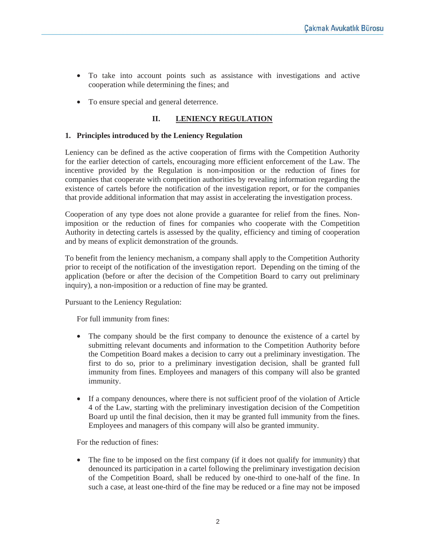- To take into account points such as assistance with investigations and active cooperation while determining the fines; and
- To ensure special and general deterrence.

## **II. LENIENCY REGULATION**

#### **1. Principles introduced by the Leniency Regulation**

Leniency can be defined as the active cooperation of firms with the Competition Authority for the earlier detection of cartels, encouraging more efficient enforcement of the Law. The incentive provided by the Regulation is non-imposition or the reduction of fines for companies that cooperate with competition authorities by revealing information regarding the existence of cartels before the notification of the investigation report, or for the companies that provide additional information that may assist in accelerating the investigation process.

Cooperation of any type does not alone provide a guarantee for relief from the fines. Nonimposition or the reduction of fines for companies who cooperate with the Competition Authority in detecting cartels is assessed by the quality, efficiency and timing of cooperation and by means of explicit demonstration of the grounds.

To benefit from the leniency mechanism, a company shall apply to the Competition Authority prior to receipt of the notification of the investigation report. Depending on the timing of the application (before or after the decision of the Competition Board to carry out preliminary inquiry), a non-imposition or a reduction of fine may be granted.

Pursuant to the Leniency Regulation:

For full immunity from fines:

- The company should be the first company to denounce the existence of a cartel by submitting relevant documents and information to the Competition Authority before the Competition Board makes a decision to carry out a preliminary investigation. The first to do so, prior to a preliminary investigation decision, shall be granted full immunity from fines. Employees and managers of this company will also be granted immunity.
- If a company denounces, where there is not sufficient proof of the violation of Article 4 of the Law, starting with the preliminary investigation decision of the Competition Board up until the final decision, then it may be granted full immunity from the fines. Employees and managers of this company will also be granted immunity.

For the reduction of fines:

• The fine to be imposed on the first company (if it does not qualify for immunity) that denounced its participation in a cartel following the preliminary investigation decision of the Competition Board, shall be reduced by one-third to one-half of the fine. In such a case, at least one-third of the fine may be reduced or a fine may not be imposed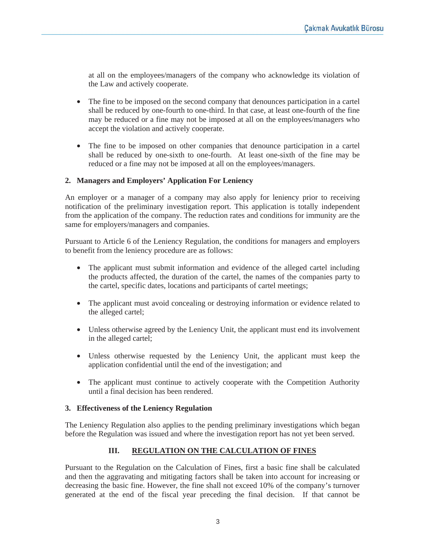at all on the employees/managers of the company who acknowledge its violation of the Law and actively cooperate.

- The fine to be imposed on the second company that denounces participation in a cartel shall be reduced by one-fourth to one-third. In that case, at least one-fourth of the fine may be reduced or a fine may not be imposed at all on the employees/managers who accept the violation and actively cooperate.
- The fine to be imposed on other companies that denounce participation in a cartel shall be reduced by one-sixth to one-fourth. At least one-sixth of the fine may be reduced or a fine may not be imposed at all on the employees/managers.

## **2. Managers and Employers' Application For Leniency**

An employer or a manager of a company may also apply for leniency prior to receiving notification of the preliminary investigation report. This application is totally independent from the application of the company. The reduction rates and conditions for immunity are the same for employers/managers and companies.

Pursuant to Article 6 of the Leniency Regulation, the conditions for managers and employers to benefit from the leniency procedure are as follows:

- The applicant must submit information and evidence of the alleged cartel including the products affected, the duration of the cartel, the names of the companies party to the cartel, specific dates, locations and participants of cartel meetings;
- The applicant must avoid concealing or destroying information or evidence related to the alleged cartel;
- Unless otherwise agreed by the Leniency Unit, the applicant must end its involvement in the alleged cartel;
- Unless otherwise requested by the Leniency Unit, the applicant must keep the application confidential until the end of the investigation; and
- The applicant must continue to actively cooperate with the Competition Authority until a final decision has been rendered.

## **3. Effectiveness of the Leniency Regulation**

The Leniency Regulation also applies to the pending preliminary investigations which began before the Regulation was issued and where the investigation report has not yet been served.

# **III. REGULATION ON THE CALCULATION OF FINES**

Pursuant to the Regulation on the Calculation of Fines, first a basic fine shall be calculated and then the aggravating and mitigating factors shall be taken into account for increasing or decreasing the basic fine. However, the fine shall not exceed 10% of the company's turnover generated at the end of the fiscal year preceding the final decision. If that cannot be